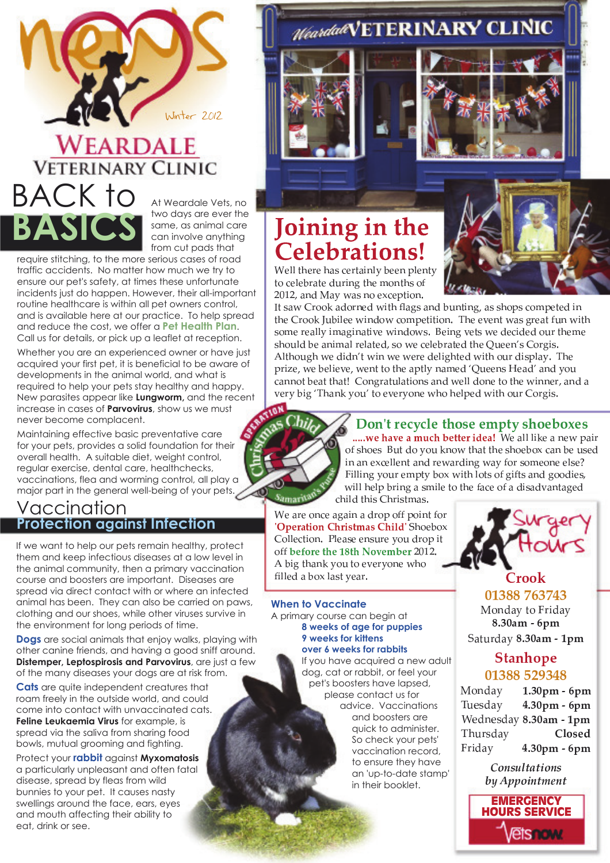

# **WEARDALE VETERINARY CLINIC** BACK to **BASIC**

At Weardale Vets, no two days are ever the same, as animal care can involve anything from cut pads that

require stitching, to the more serious cases of road traffic accidents. No matter how much we try to ensure our pet's safety, at times these unfortunate incidents just do happen. However, their all-important routine healthcare is within all pet owners control, and is available here at our practice. To help spread and reduce the cost, we offer a **Pet Health Plan**. Call us for details, or pick up a leaflet at reception.

Whether you are an experienced owner or have just acquired your first pet, it is beneficial to be aware of developments in the animal world, and what is required to help your pets stay healthy and happy. New parasites appear like **Lungworm,** and the recent increase in cases of **Parvovirus**, show us we must never become complacent.

Maintaining effective basic preventative care for your pets, provides a solid foundation for their overall health. A suitable diet, weight control, regular exercise, dental care, healthchecks, vaccinations, flea and worming control, all play a major part in the general well-being of your pets.

### Vaccination **Protection against Infection**

If we want to help our pets remain healthy, protect them and keep infectious diseases at a low level in the animal community, then a primary vaccination course and boosters are important. Diseases are spread via direct contact with or where an infected animal has been. They can also be carried on paws, clothing and our shoes, while other viruses survive in the environment for long periods of time.

**Dogs** are social animals that enjoy walks, playing with other canine friends, and having a good sniff around. **Distemper, Leptospirosis and Parvovirus**, are just a few of the many diseases your dogs are at risk from.

**Cats** are quite independent creatures that roam freely in the outside world, and could come into contact with unvaccinated cats. **Feline Leukaemia Virus** for example, is spread via the saliva from sharing food bowls, mutual grooming and fighting.

Protect your **rabbit** against **Myxomatosis**  a particularly unpleasant and often fatal disease, spread by fleas from wild bunnies to your pet. It causes nasty swellings around the face, ears, eyes and mouth affecting their ability to eat, drink or see.

# Joining in the **Celebrations!**

G <sup>H</sup> <sup>I</sup> <sup>I</sup> <sup>J</sup> <sup>K</sup> <sup>H</sup> <sup>L</sup> <sup>H</sup> <sup>K</sup> <sup>M</sup> <sup>N</sup> <sup>O</sup> <sup>H</sup> <sup>L</sup> <sup>J</sup> <sup>M</sup> P Q I R <sup>S</sup> <sup>H</sup> <sup>H</sup> <sup>Q</sup> <sup>T</sup> <sup>I</sup> <sup>H</sup> <sup>Q</sup> <sup>J</sup> <sup>R</sup> J U O H I H S L M J H V W L H S L M J H V W L H V W L H V W L H V W L H V W L H V W L H V W L H V W L H V W L  $\blacksquare$   $\blacksquare$   $\blacksquare$   $\blacksquare$   $\blacksquare$   $\blacksquare$   $\blacksquare$   $\blacksquare$   $\blacksquare$   $\blacksquare$   $\blacksquare$   $\blacksquare$   $\blacksquare$   $\blacksquare$   $\blacksquare$   $\blacksquare$   $\blacksquare$   $\blacksquare$   $\blacksquare$   $\blacksquare$   $\blacksquare$   $\blacksquare$   $\blacksquare$   $\blacksquare$   $\blacksquare$   $\blacksquare$   $\blacksquare$   $\blacksquare$   $\blacksquare$   $\blacksquare$   $\blacksquare$   $\blacks$ 

c J <sup>N</sup> <sup>M</sup> ` <sup>d</sup> <sup>L</sup> <sup>U</sup> <sup>U</sup> <sup>e</sup> <sup>M</sup> <sup>V</sup> <sup>U</sup> <sup>L</sup> <sup>Q</sup> <sup>H</sup> <sup>V</sup> ` <sup>P</sup> <sup>J</sup> <sup>K</sup> <sup>Z</sup> <sup>I</sup> <sup>M</sup> <sup>X</sup> <sup>N</sup> <sup>M</sup> <sup>Q</sup> <sup>V</sup> <sup>S</sup> <sup>W</sup> <sup>Q</sup> <sup>J</sup> <sup>P</sup> <sup>Q</sup> <sup>X</sup> ^ <sup>M</sup> <sup>N</sup> <sup>N</sup> <sup>K</sup> <sup>U</sup> <sup>T</sup> <sup>N</sup> <sup>O</sup> <sup>U</sup> <sup>Y</sup> <sup>T</sup> <sup>H</sup> <sup>J</sup> <sup>H</sup> <sup>V</sup> P Q J <sup>K</sup> <sup>H</sup> <sup>d</sup> <sup>L</sup> <sup>U</sup> <sup>U</sup> <sup>e</sup> <sup>f</sup> <sup>W</sup> <sup>S</sup> <sup>P</sup> <sup>I</sup> <sup>H</sup> <sup>H</sup> ` P Q <sup>V</sup> <sup>U</sup> ` <sup>O</sup> <sup>U</sup> <sup>Y</sup> <sup>T</sup> <sup>H</sup> <sup>J</sup> <sup>P</sup> <sup>J</sup> <sup>P</sup> <sup>U</sup> <sup>Q</sup> <sup>b</sup> <sup>g</sup> <sup>K</sup> <sup>H</sup> <sup>H</sup> <sup>h</sup> <sup>H</sup> <sup>Q</sup> <sup>J</sup> ` <sup>M</sup> <sup>N</sup> <sup>X</sup> <sup>L</sup> <sup>H</sup> <sup>M</sup> <sup>J</sup> <sup>Z</sup> <sup>W</sup> <sup>Q</sup> ` <sup>P</sup> <sup>J</sup> <sup>K</sup> N U Y H L H M I A H A H A H A H J P H H J N H J H J N H J N H J N H J N H J N H J N H J N H V H O P V H V H J N N <sup>K</sup> <sup>U</sup> <sup>W</sup> <sup>I</sup> <sup>V</sup> <sup>S</sup> <sup>H</sup> <sup>M</sup> <sup>Q</sup> <sup>P</sup> <sup>Y</sup> <sup>M</sup> <sup>I</sup> <sup>L</sup> <sup>H</sup> <sup>I</sup> <sup>M</sup> <sup>J</sup> <sup>H</sup> <sup>V</sup> ^ <sup>N</sup> <sup>U</sup> ` <sup>H</sup> <sup>O</sup> <sup>H</sup> <sup>I</sup> <sup>H</sup> <sup>S</sup> <sup>L</sup> <sup>M</sup> <sup>J</sup> <sup>H</sup> <sup>V</sup> <sup>J</sup> <sup>K</sup> <sup>H</sup> <sup>j</sup> <sup>W</sup> <sup>H</sup> <sup>H</sup> <sup>Q</sup> <sup>k</sup> <sup>N</sup> <sup>d</sup> <sup>U</sup> <sup>L</sup> <sup>X</sup> <sup>P</sup> <sup>N</sup> <sup>b</sup>  $\ldots$  I A  $\ldots$  and  $\ldots$  . The vertex is the problem of the  $\ldots$ T <sup>L</sup> <sup>P</sup> <sup>m</sup> <sup>H</sup> ^ ` <sup>H</sup> <sup>S</sup> <sup>H</sup> <sup>I</sup> <sup>P</sup> <sup>H</sup> <sup>h</sup> <sup>H</sup> ^ ` <sup>H</sup> <sup>Q</sup> <sup>J</sup> <sup>J</sup> <sup>U</sup> <sup>J</sup> <sup>K</sup> <sup>H</sup> <sup>M</sup> <sup>T</sup> <sup>J</sup> I R <sup>Q</sup> <sup>M</sup> <sup>Y</sup> <sup>H</sup> <sup>V</sup> <sup>n</sup> <sup>j</sup> <sup>W</sup> <sup>H</sup> <sup>H</sup> <sup>Q</sup> <sup>N</sup> <sup>o</sup> <sup>H</sup> <sup>M</sup> <sup>V</sup> <sup>k</sup> <sup>M</sup> <sup>Q</sup> <sup>V</sup> <sup>R</sup> <sup>U</sup> <sup>W</sup> O <sup>M</sup> <sup>Q</sup> <sup>Q</sup> <sup>U</sup> <sup>J</sup> <sup>S</sup> <sup>H</sup> <sup>M</sup> <sup>J</sup> <sup>J</sup> <sup>K</sup> <sup>M</sup> <sup>J</sup> <sup>p</sup> <sup>d</sup> <sup>U</sup> <sup>Q</sup> <sup>X</sup> <sup>L</sup> <sup>M</sup> <sup>J</sup> <sup>W</sup> <sup>I</sup> <sup>M</sup> <sup>J</sup> <sup>P</sup> <sup>U</sup> <sup>Q</sup> <sup>N</sup> <sup>M</sup> <sup>Q</sup> <sup>V</sup> ` <sup>H</sup> <sup>I</sup> <sup>I</sup> <sup>V</sup> <sup>U</sup> <sup>Q</sup> <sup>H</sup> <sup>J</sup> <sup>U</sup> <sup>J</sup> <sup>K</sup> <sup>H</sup> ` P Q <sup>Q</sup> <sup>H</sup> <sup>L</sup> ^ <sup>M</sup> <sup>Q</sup> <sup>V</sup> <sup>M</sup> h <sup>H</sup> <sup>L</sup> <sup>R</sup> <sup>S</sup> <sup>P</sup> <sup>X</sup> <sup>n</sup> <sup>g</sup> <sup>K</sup> <sup>M</sup> <sup>Q</sup> <sup>e</sup> <sup>R</sup> <sup>U</sup> <sup>W</sup> <sup>k</sup> <sup>J</sup> <sup>U</sup> <sup>H</sup> <sup>h</sup> <sup>H</sup> <sup>L</sup> <sup>R</sup> <sup>U</sup> <sup>Q</sup> <sup>H</sup> ` <sup>K</sup> <sup>U</sup> <sup>K</sup> <sup>H</sup> <sup>I</sup> <sup>T</sup> <sup>H</sup> <sup>V</sup> ` <sup>P</sup> <sup>J</sup> <sup>K</sup> <sup>U</sup> <sup>W</sup> <sup>L</sup> <sup>d</sup> <sup>U</sup> <sup>L</sup> <sup>X</sup> <sup>P</sup> <sup>N</sup> <sup>b</sup>

Weardald VETERINARY CLINIC

## , which is the set up to the set up to the set up to the set up to the set up to the set up to the set up to the set up to the set up to the set up to the set up to the set up to the set up to the set up to the set up to

 $\ldots$  we have a much better idea! We all like a new pair U <sup>Z</sup> <sup>N</sup> <sup>K</sup> <sup>U</sup> <sup>H</sup> <sup>N</sup> <sup>i</sup> <sup>W</sup> <sup>J</sup> <sup>V</sup> <sup>U</sup> <sup>R</sup> <sup>U</sup> <sup>W</sup> <sup>e</sup> <sup>Q</sup> <sup>U</sup> ` <sup>J</sup> <sup>K</sup> <sup>M</sup> <sup>J</sup> <sup>J</sup> <sup>K</sup> <sup>H</sup> <sup>N</sup> <sup>K</sup> <sup>U</sup> <sup>H</sup> <sup>S</sup> <sup>U</sup> <sup>a</sup> <sup>O</sup> <sup>M</sup> <sup>Q</sup> <sup>S</sup> <sup>H</sup> <sup>W</sup> <sup>N</sup> <sup>H</sup> <sup>V</sup>  $\mathcal{P}$  and a computation of the original density  $\mathcal{P}$  and  $\mathcal{P}$  and  $\mathcal{P}$  and  $\mathcal{P}$  and  $\mathcal{P}$  and  $\mathcal{P}$  and  $\mathcal{P}$  and  $\mathcal{P}$  and  $\mathcal{P}$  and  $\mathcal{P}$  and  $\mathcal{P}$  and  $\mathcal{P}$  and  $\mathcal{P}$  and <sup>P</sup> <sup>I</sup> <sup>I</sup> <sup>P</sup> <sup>Q</sup> <sup>X</sup> <sup>R</sup> <sup>U</sup> <sup>W</sup> <sup>L</sup> <sup>H</sup> <sup>Y</sup> <sup>T</sup> <sup>J</sup> <sup>R</sup> <sup>S</sup> <sup>U</sup> <sup>a</sup> ` <sup>P</sup> <sup>J</sup> <sup>K</sup> <sup>I</sup> <sup>U</sup> <sup>J</sup> <sup>N</sup> <sup>U</sup> <sup>Z</sup> <sup>X</sup> <sup>P</sup> <sup>Z</sup> <sup>J</sup> <sup>N</sup> <sup>M</sup> <sup>Q</sup> <sup>V</sup> <sup>X</sup> <sup>U</sup> <sup>U</sup> <sup>V</sup> <sup>P</sup> <sup>H</sup> <sup>N</sup> ^  $\overline{\phantom{a}}$  P I A I A  $\overline{\phantom{a}}$  and  $\overline{\phantom{a}}$  and  $\overline{\phantom{a}}$  and  $\overline{\phantom{a}}$  and  $\overline{\phantom{a}}$  multiplies the  $\overline{\phantom{a}}$ O <sup>K</sup> <sup>P</sup> <sup>I</sup> <sup>V</sup> <sup>J</sup> <sup>K</sup> <sup>P</sup> <sup>N</sup> <sup>d</sup> <sup>K</sup> <sup>L</sup> <sup>P</sup> <sup>N</sup> <sup>J</sup> <sup>Y</sup> <sup>M</sup> <sup>N</sup> <sup>b</sup>

G <sup>H</sup> <sup>M</sup> <sup>L</sup> <sup>H</sup> <sup>U</sup> <sup>Q</sup> <sup>O</sup> <sup>H</sup> <sup>M</sup> <sup>X</sup> <sup>M</sup> P Q <sup>M</sup> <sup>V</sup> <sup>L</sup> <sup>U</sup> <sup>T</sup> <sup>U</sup> <sup>Z</sup> <sup>Z</sup> <sup>T</sup> <sup>U</sup> P Q <sup>J</sup> <sup>Z</sup> <sup>U</sup> <sup>L</sup> 'Oneration Christmas Child' Shoebo d <sup>U</sup> <sup>I</sup> <sup>I</sup> <sup>H</sup> <sup>O</sup> <sup>J</sup> <sup>P</sup> <sup>U</sup> <sup>Q</sup> <sup>b</sup> <sup>I</sup> <sup>H</sup> <sup>M</sup> <sup>N</sup> <sup>H</sup> <sup>H</sup> <sup>Q</sup> <sup>N</sup> <sup>W</sup> <sup>L</sup> <sup>H</sup> <sup>R</sup> <sup>U</sup> <sup>W</sup> <sup>V</sup> <sup>L</sup> <sup>U</sup> <sup>T</sup> <sup>P</sup> <sup>J</sup> off before the 18th November 2012 l <sup>S</sup> <sup>P</sup> <sup>X</sup> <sup>J</sup> <sup>K</sup> <sup>M</sup> <sup>Q</sup> <sup>e</sup> <sup>R</sup> <sup>U</sup> <sup>W</sup> <sup>J</sup> <sup>U</sup> <sup>H</sup> <sup>h</sup> <sup>H</sup> <sup>L</sup> <sup>R</sup> <sup>U</sup> <sup>Q</sup> <sup>H</sup> ` <sup>K</sup> <sup>U</sup> Z <sup>P</sup> <sup>I</sup> <sup>I</sup> <sup>H</sup> <sup>V</sup> <sup>M</sup> <sup>S</sup> <sup>U</sup> <sup>a</sup> <sup>I</sup> <sup>M</sup> <sup>N</sup> <sup>J</sup> <sup>R</sup> <sup>H</sup> <sup>M</sup> <sup>L</sup> <sup>b</sup>

#### **When to Vaccinate**

A primary course can begin at **8 weeks of age for puppies 9 weeks for kittens over 6 weeks for rabbits**

If you have acquired a new adult dog, cat or rabbit, or feel your pet's boosters have lapsed, please contact us for advice. Vaccinations and boosters are quick to administer. So check your pets' vaccination record, to ensure they have an 'up-to-date stamp' in their booklet.



#### -----------. . . . . . .

 $\sim$   $\sim$   $\sim$ . . . . . .

#### Stanhope . . . . . . . . . .

\_ \_ \_  $\sim$   $\sim$   $\sim$   $\sim$ + , - .  $\sim$   $\sim$   $\sim$   $\sim$ / , , - + <sup>0</sup> - <sup>1</sup> <sup>2</sup> <sup>3</sup> <sup>4</sup> <sup>5</sup> <sup>6</sup> .  $\sim$   $\sim$   $\sim$   $\sim$ 

> 7 <sup>8</sup> <sup>9</sup> : ; <sup>&</sup>lt; <sup>=</sup> <sup>&</sup>gt; <sup>=</sup> ? <sup>8</sup> <sup>9</sup> : @ <sup>A</sup> <sup>B</sup> <sup>C</sup> <sup>C</sup> 8 ? <sup>9</sup> <sup>=</sup> <sup>D</sup> <sup>E</sup> <sup>9</sup> <sup>=</sup>